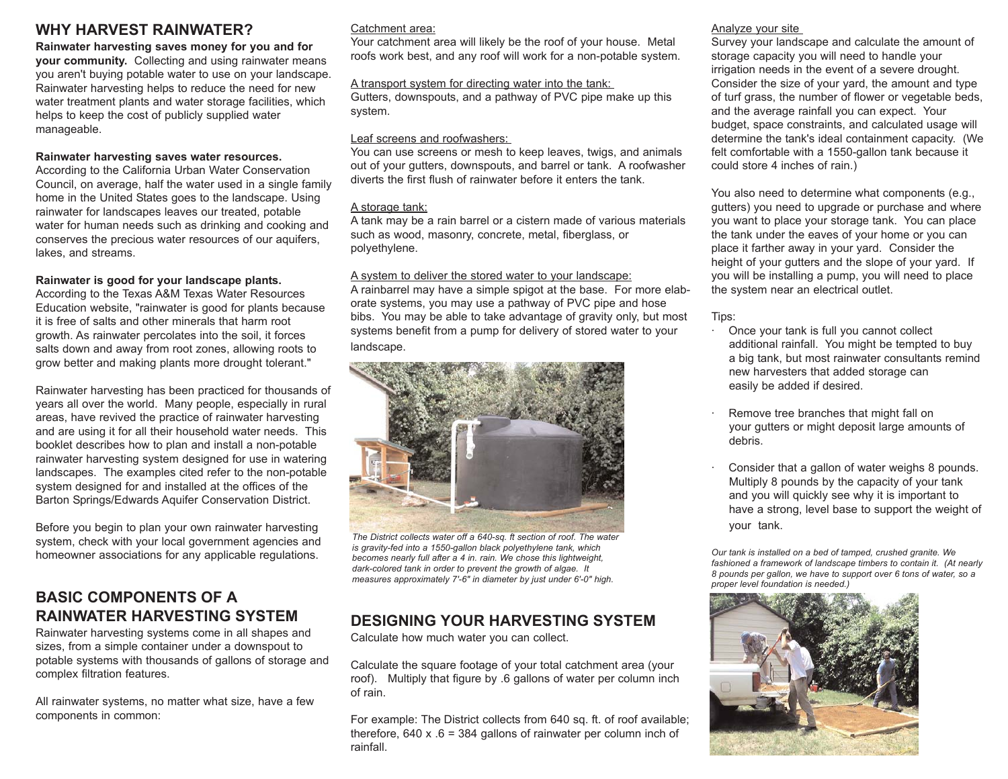## **WHY HARVEST RAINWATER?**

#### **Rainwater harvesting saves money for you and for**

**your community.** Collecting and using rainwater means you aren't buying potable water to use on your landscape. Rainwater harvesting helps to reduce the need for new water treatment plants and water storage facilities, which helps to keep the cost of publicly supplied water manageable.

#### **Rainwater harvesting saves water resources.**

According to the California Urban Water Conservation Council, on average, half the water used in a single family home in the United States goes to the landscape. Using rainwater for landscapes leaves our treated, potable water for human needs such as drinking and cooking and conserves the precious water resources of our aquifers, lakes, and streams.

#### **Rainwater is good for your landscape plants.**

According to the Texas A&M Texas Water Resources Education website, "rainwater is good for plants because it is free of salts and other minerals that harm root growth. As rainwater percolates into the soil, it forces salts down and away from root zones, allowing roots to grow better and making plants more drought tolerant."

Rainwater harvesting has been practiced for thousands of years all over the world. Many people, especially in rural areas, have revived the practice of rainwater harvesting and are using it for all their household water needs. This booklet describes how to plan and install a non-potable rainwater harvesting system designed for use in watering landscapes. The examples cited refer to the non-potable system designed for and installed at the offices of the Barton Springs/Edwards Aquifer Conservation District.

Before you begin to plan your own rainwater harvesting system, check with your local government agencies and homeowner associations for any applicable regulations.

## **BASIC COMPONENTS OF A RAINWATER HARVESTING SYSTEM**

Rainwater harvesting systems come in all shapes and sizes, from a simple container under a downspout to potable systems with thousands of gallons of storage and complex filtration features.

All rainwater systems, no matter what size, have a few components in common:

#### Catchment area:

Your catchment area will likely be the roof of your house. Metal roofs work best, and any roof will work for a non-potable system.

#### A transport system for directing water into the tank:

Gutters, downspouts, and a pathway of PVC pipe make up this system.

#### Leaf screens and roofwashers:

You can use screens or mesh to keep leaves, twigs, and animals out of your gutters, downspouts, and barrel or tank. A roofwasher diverts the first flush of rainwater before it enters the tank.

#### A storage tank:

A tank may be a rain barrel or a cistern made of various materials such as wood, masonry, concrete, metal, fiberglass, or polyethylene.

#### A system to deliver the stored water to your landscape:

A rainbarrel may have a simple spigot at the base. For more elaborate systems, you may use a pathway of PVC pipe and hose bibs. You may be able to take advantage of gravity only, but most systems benefit from a pump for delivery of stored water to your landscape.



*The District collects water off a 640-sq. ft section of roof. The water is gravity-fed into a 1550-gallon black polyethylene tank, which becomes nearly full after a 4 in. rain. We chose this lightweight, dark-colored tank in order to prevent the growth of algae. It measures approximately 7'-6" in diameter by just under 6'-0" high.*

## **DESIGNING YOUR HARVESTING SYSTEM**

Calculate how much water you can collect.

Calculate the square footage of your total catchment area (your roof). Multiply that figure by .6 gallons of water per column inch of rain.

For example: The District collects from 640 sq. ft. of roof available; therefore, 640 x  $.6 = 384$  gallons of rainwater per column inch of rainfall.

#### Analyze your site

Survey your landscape and calculate the amount of storage capacity you will need to handle your irrigation needs in the event of a severe drought. Consider the size of your yard, the amount and type of turf grass, the number of flower or vegetable beds, and the average rainfall you can expect. Your budget, space constraints, and calculated usage will determine the tank's ideal containment capacity. (We felt comfortable with a 1550-gallon tank because it could store 4 inches of rain.)

You also need to determine what components (e.g., gutters) you need to upgrade or purchase and where you want to place your storage tank. You can place the tank under the eaves of your home or you can place it farther away in your yard. Consider the height of your gutters and the slope of your yard. If you will be installing a pump, you will need to place the system near an electrical outlet.

#### Tips:

- · Once your tank is full you cannot collect additional rainfall. You might be tempted to buy a big tank, but most rainwater consultants remind new harvesters that added storage can easily be added if desired.
- Remove tree branches that might fall on your gutters or might deposit large amounts of debris.
- Consider that a gallon of water weighs 8 pounds. Multiply 8 pounds by the capacity of your tank and you will quickly see why it is important to have a strong, level base to support the weight of your tank.

*Our tank is installed on a bed of tamped, crushed granite. We fashioned a framework of landscape timbers to contain it. (At nearly 8 pounds per gallon, we have to support over 6 tons of water, so a proper level foundation is needed.)*